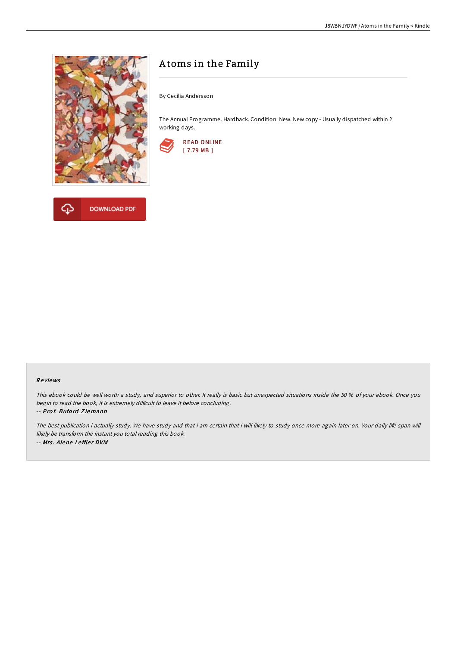

# A toms in the Family

By Cecilia Andersson

The Annual Programme. Hardback. Condition: New. New copy - Usually dispatched within 2 working days.





#### Re views

This ebook could be well worth <sup>a</sup> study, and superior to other. It really is basic but unexpected situations inside the 50 % of your ebook. Once you begin to read the book, it is extremely difficult to leave it before concluding.

-- Pro f. Bufo rd Z iemann

The best publication i actually study. We have study and that i am certain that i will likely to study once more again later on. Your daily life span will likely be transform the instant you total reading this book. -- Mrs. Alene Leffler DVM